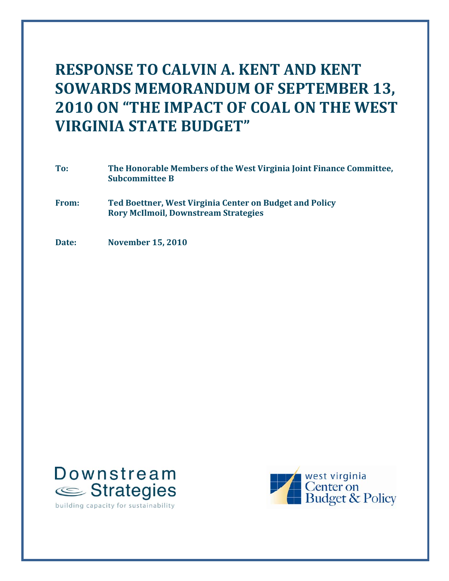# **RES RESPONSE TO CALVIN A. KENT AND KENT SOWARDS MEMORANDUM OF SEPTEMBER 13, 2010 ON "THE IMPACT OF COAL ON THE WEST VIRGINIA STATE BUDGET"**

- **To: The Honorable Members of the West Virginia Joint Finance Committee, Subcommittee B**
- **From: Ted Boettner, West Virginia Center on Budget and Policy Rory McIlmoil, Downstream Strategies**
- **Date: November 15, 2010**



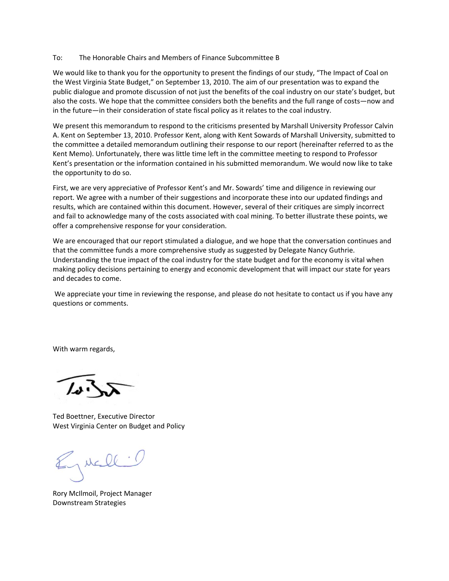#### To: The Honorable Chairs and Members of Finance Subcommittee B

We would like to thank you for the opportunity to present the findings of our study, "The Impact of Coal on the West Virginia State Budget," on September 13, 2010. The aim of our presentation was to expand the public dialogue and promote discussion of not just the benefits of the coal industry on our state's budget, but also the costs. We hope that the committee considers both the benefits and the full range of costs—now and in the future—in their consideration of state fiscal policy as it relates to the coal industry.

We present this memorandum to respond to the criticisms presented by Marshall University Professor Calvin A. Kent on September 13, 2010. Professor Kent, along with Kent Sowards of Marshall University, submitted to the committee a detailed memorandum outlining their response to our report (hereinafter referred to as the Kent Memo). Unfortunately, there was little time left in the committee meeting to respond to Professor Kent's presentation or the information contained in his submitted memorandum. We would now like to take the opportunity to do so.

First, we are very appreciative of Professor Kent's and Mr. Sowards' time and diligence in reviewing our report. We agree with a number of their suggestions and incorporate these into our updated findings and results, which are contained within this document. However, several of their critiques are simply incorrect and fail to acknowledge many of the costs associated with coal mining. To better illustrate these points, we offer a comprehensive response for your consideration.

We are encouraged that our report stimulated a dialogue, and we hope that the conversation continues and that the committee funds a more comprehensive study as suggested by Delegate Nancy Guthrie. Understanding the true impact of the coal industry for the state budget and for the economy is vital when making policy decisions pertaining to energy and economic development that will impact our state for years and decades to come.

We appreciate your time in reviewing the response, and please do not hesitate to contact us if you have any questions or comments.

With warm regards,

Ted Boettner, Executive Director West Virginia Center on Budget and Policy

Jucil :

Rory McIlmoil, Project Manager Downstream Strategies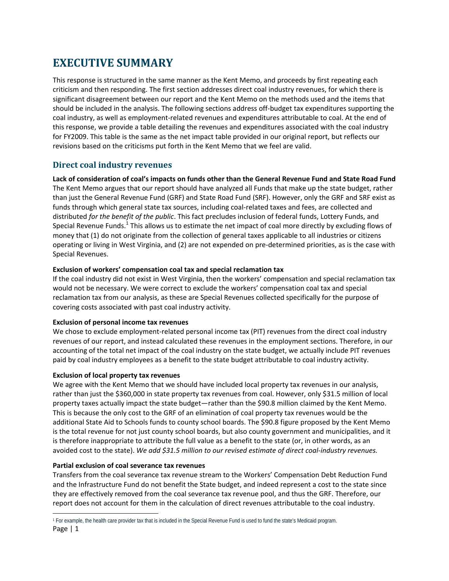## **EXECUTIVE SUMMARY**

This response is structured in the same manner as the Kent Memo, and proceeds by first repeating each criticism and then responding. The first section addresses direct coal industry revenues, for which there is significant disagreement between our report and the Kent Memo on the methods used and the items that should be included in the analysis. The following sections address off‐budget tax expenditures supporting the coal industry, as well as employment‐related revenues and expenditures attributable to coal. At the end of this response, we provide a table detailing the revenues and expenditures associated with the coal industry for FY2009. This table is the same as the net impact table provided in our original report, but reflects our revisions based on the criticisms put forth in the Kent Memo that we feel are valid.

## **Direct coal industry revenues**

Lack of consideration of coal's impacts on funds other than the General Revenue Fund and State Road Fund The Kent Memo argues that our report should have analyzed all Funds that make up the state budget, rather than just the General Revenue Fund (GRF) and State Road Fund (SRF). However, only the GRF and SRF exist as funds through which general state tax sources, including coal-related taxes and fees, are collected and distributed *for the benefit of the public*. This fact precludes inclusion of federal funds, Lottery Funds, and Special Revenue Funds.<sup>1</sup> This allows us to estimate the net impact of coal more directly by excluding flows of money that (1) do not originate from the collection of general taxes applicable to all industries or citizens operating or living in West Virginia, and (2) are not expended on pre‐determined priorities, as is the case with Special Revenues.

### **Exclusion of workers' compensation coal tax and special reclamation tax**

If the coal industry did not exist in West Virginia, then the workers' compensation and special reclamation tax would not be necessary. We were correct to exclude the workers' compensation coal tax and special reclamation tax from our analysis, as these are Special Revenues collected specifically for the purpose of covering costs associated with past coal industry activity.

### **Exclusion of personal income tax revenues**

We chose to exclude employment-related personal income tax (PIT) revenues from the direct coal industry revenues of our report, and instead calculated these revenues in the employment sections. Therefore, in our accounting of the total net impact of the coal industry on the state budget, we actually include PIT revenues paid by coal industry employees as a benefit to the state budget attributable to coal industry activity.

### **Exclusion of local property tax revenues**

We agree with the Kent Memo that we should have included local property tax revenues in our analysis, rather than just the \$360,000 in state property tax revenues from coal. However, only \$31.5 million of local property taxes actually impact the state budget—rather than the \$90.8 million claimed by the Kent Memo. This is because the only cost to the GRF of an elimination of coal property tax revenues would be the additional State Aid to Schools funds to county school boards. The \$90.8 figure proposed by the Kent Memo is the total revenue for not just county school boards, but also county government and municipalities, and it is therefore inappropriate to attribute the full value as a benefit to the state (or, in other words, as an avoided cost to the state). *We add \$31.5 million to our revised estimate of direct coal‐industry revenues.*

### **Partial exclusion of coal severance tax revenues**

Transfers from the coal severance tax revenue stream to the Workers' Compensation Debt Reduction Fund and the Infrastructure Fund do not benefit the State budget, and indeed represent a cost to the state since they are effectively removed from the coal severance tax revenue pool, and thus the GRF. Therefore, our report does not account for them in the calculation of direct revenues attributable to the coal industry.

Page | 1 1 For example, the health care provider tax that is included in the Special Revenue Fund is used to fund the state's Medicaid program.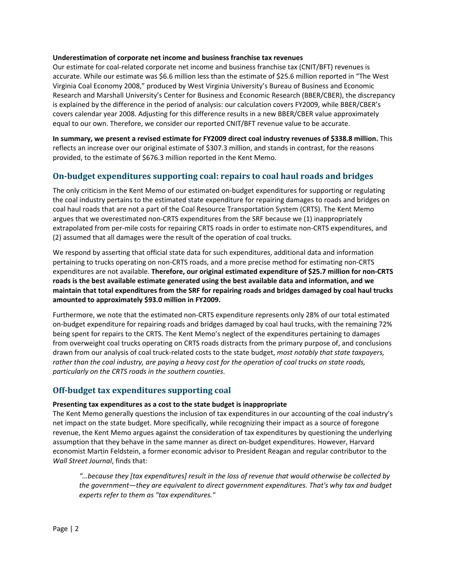#### **Underestimation of corporate net income and business franchise tax revenues**

Our estimate for coal-related corporate net income and business franchise tax (CNIT/BFT) revenues is accurate. While our estimate was \$6.6 million less than the estimate of \$25.6 million reported in "The West Virginia Coal Economy 2008," produced by West Virginia University's Bureau of Business and Economic Research and Marshall University's Center for Business and Economic Research (BBER/CBER), the discrepancy is explained by the difference in the period of analysis: our calculation covers FY2009, while BBER/CBER's covers calendar year 2008. Adjusting for this difference results in a new BBER/CBER value approximately equal to our own. Therefore, we consider our reported CNIT/BFT revenue value to be accurate.

**In summary, we present a revised estimate for FY2009 direct coal industry revenues of \$338.8 million.** This reflects an increase over our original estimate of \$307.3 million, and stands in contrast, for the reasons provided, to the estimate of \$676.3 million reported in the Kent Memo.

### **Onbudget expenditures supporting coal: repairs to coal haul roads and bridges**

The only criticism in the Kent Memo of our estimated on-budget expenditures for supporting or regulating the coal industry pertains to the estimated state expenditure for repairing damages to roads and bridges on coal haul roads that are not a part of the Coal Resource Transportation System (CRTS). The Kent Memo argues that we overestimated non‐CRTS expenditures from the SRF because we (1) inappropriately extrapolated from per-mile costs for repairing CRTS roads in order to estimate non-CRTS expenditures, and (2) assumed that all damages were the result of the operation of coal trucks.

We respond by asserting that official state data for such expenditures, additional data and information pertaining to trucks operating on non‐CRTS roads, and a more precise method for estimating non‐CRTS expenditures are not available. **Therefore, our original estimated expenditure of \$25.7 million for non‐CRTS roads is the best available estimate generated using the best available data and information, and we maintain that total expenditures from the SRF for repairing roads and bridges damaged by coal haul trucks amounted to approximately \$93.0 million in FY2009.**

Furthermore, we note that the estimated non-CRTS expenditure represents only 28% of our total estimated on‐budget expenditure for repairing roads and bridges damaged by coal haul trucks, with the remaining 72% being spent for repairs to the CRTS. The Kent Memo's neglect of the expenditures pertaining to damages from overweight coal trucks operating on CRTS roads distracts from the primary purpose of, and conclusions drawn from our analysis of coal truck‐related costs to the state budget, *most notably that state taxpayers,* rather than the coal industry, are paying a heavy cost for the operation of coal trucks on state roads, *particularly on the CRTS roads in the southern counties*.

### **Offbudget tax expenditures supporting coal**

#### **Presenting tax expenditures as a cost to the state budget is inappropriate**

The Kent Memo generally questions the inclusion of tax expenditures in our accounting of the coal industry's net impact on the state budget. More specifically, while recognizing their impact as a source of foregone revenue, the Kent Memo argues against the consideration of tax expenditures by questioning the underlying assumption that they behave in the same manner as direct on‐budget expenditures. However, Harvard economist Martin Feldstein, a former economic advisor to President Reagan and regular contributor to the *Wall Street Journal*, finds that:

*"…because they [tax expenditures] result in the loss of revenue that would otherwise be collected by the government—they are equivalent to direct government expenditures. That's why tax and budget experts refer to them as "tax expenditures."*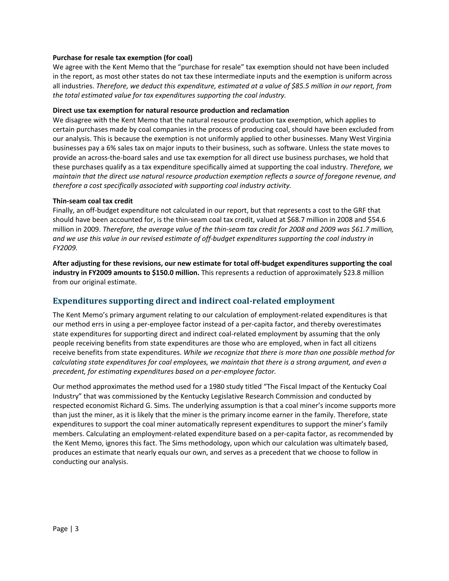#### **Purchase for resale tax exemption (for coal)**

We agree with the Kent Memo that the "purchase for resale" tax exemption should not have been included in the report, as most other states do not tax these intermediate inputs and the exemption is uniform across all industries. *Therefore, we deduct this expenditure, estimated at a value of \$85.5 million in our report, from the total estimated value for tax expenditures supporting the coal industry.*

#### **Direct use tax exemption for natural resource production and reclamation**

We disagree with the Kent Memo that the natural resource production tax exemption, which applies to certain purchases made by coal companies in the process of producing coal, should have been excluded from our analysis. This is because the exemption is not uniformly applied to other businesses. Many West Virginia businesses pay a 6% sales tax on major inputs to their business, such as software. Unless the state moves to provide an across‐the‐board sales and use tax exemption for all direct use business purchases, we hold that these purchases qualify as a tax expenditure specifically aimed at supporting the coal industry. *Therefore, we maintain that the direct use natural resource production exemption reflects a source of foregone revenue, and therefore a cost specifically associated with supporting coal industry activity.*

#### **Thin‐seam coal tax credit**

Finally, an off-budget expenditure not calculated in our report, but that represents a cost to the GRF that should have been accounted for, is the thin‐seam coal tax credit, valued at \$68.7 million in 2008 and \$54.6 million in 2009. Therefore, the average value of the thin-seam tax credit for 2008 and 2009 was \$61.7 million, and we use this value in our revised estimate of off-budget expenditures supporting the coal industry in *FY2009.*

After adjusting for these revisions, our new estimate for total off-budget expenditures supporting the coal **industry in FY2009 amounts to \$150.0 million.** This represents a reduction of approximately \$23.8 million from our original estimate.

## **Expenditures supporting direct and indirect coalrelated employment**

The Kent Memo's primary argument relating to our calculation of employment‐related expenditures is that our method errs in using a per‐employee factor instead of a per‐capita factor, and thereby overestimates state expenditures for supporting direct and indirect coal‐related employment by assuming that the only people receiving benefits from state expenditures are those who are employed, when in fact all citizens receive benefits from state expenditures. *While we recognize that there is more than one possible method for* calculating state expenditures for coal employees, we maintain that there is a strong argument, and even a *precedent, for estimating expenditures based on a per‐employee factor.*

Our method approximates the method used for a 1980 study titled "The Fiscal Impact of the Kentucky Coal Industry" that was commissioned by the Kentucky Legislative Research Commission and conducted by respected economist Richard G. Sims. The underlying assumption is that a coal miner's income supports more than just the miner, as it is likely that the miner is the primary income earner in the family. Therefore, state expenditures to support the coal miner automatically represent expenditures to support the miner's family members. Calculating an employment-related expenditure based on a per-capita factor, as recommended by the Kent Memo, ignores this fact. The Sims methodology, upon which our calculation was ultimately based, produces an estimate that nearly equals our own, and serves as a precedent that we choose to follow in conducting our analysis.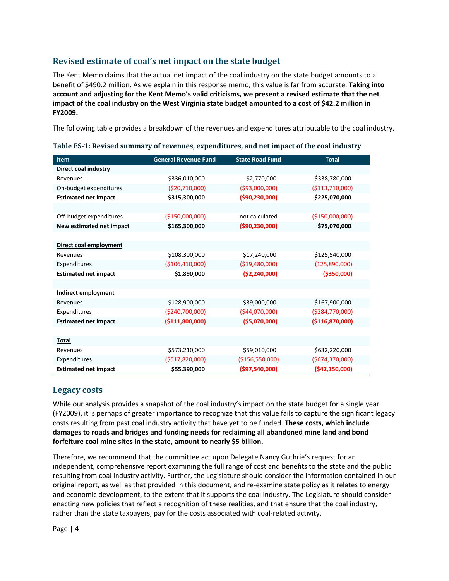## **Revised estimate of coal's net impact on the state budget**

The Kent Memo claims that the actual net impact of the coal industry on the state budget amounts to a benefit of \$490.2 million. As we explain in this response memo, this value is far from accurate. **Taking into account and adjusting for the Kent Memo's valid criticisms, we present a revised estimate that the net** impact of the coal industry on the West Virginia state budget amounted to a cost of \$42.2 million in **FY2009.**

The following table provides a breakdown of the revenues and expenditures attributable to the coal industry.

| Item                        | <b>General Revenue Fund</b> | <b>State Road Fund</b> | <b>Total</b>       |
|-----------------------------|-----------------------------|------------------------|--------------------|
| Direct coal industry        |                             |                        |                    |
| Revenues                    | \$336,010,000               | \$2,770,000            | \$338,780,000      |
| On-budget expenditures      | ( \$20, 710, 000)           | ( \$93,000,000)        | ( \$113, 710, 000) |
| <b>Estimated net impact</b> | \$315,300,000               | (\$90,230,000)         | \$225,070,000      |
|                             |                             |                        |                    |
| Off-budget expenditures     | (\$150,000,000)             | not calculated         | (\$150,000,000)    |
| New estimated net impact    | \$165,300,000               | (\$90,230,000)         | \$75,070,000       |
|                             |                             |                        |                    |
| Direct coal employment      |                             |                        |                    |
| Revenues                    | \$108,300,000               | \$17,240,000           | \$125,540,000      |
| Expenditures                | ( \$106, 410, 000)          | ( \$19,480,000)        | (125, 890, 000)    |
| <b>Estimated net impact</b> | \$1,890,000                 | ( \$2, 240, 000 ]      | ( \$350,000]       |
|                             |                             |                        |                    |
| <b>Indirect employment</b>  |                             |                        |                    |
| Revenues                    | \$128,900,000               | \$39,000,000           | \$167,900,000      |
| Expenditures                | (\$240,700,000)             | ( \$44,070,000]        | ( \$284, 770, 000) |
| <b>Estimated net impact</b> | ( \$111, 800, 000)          | ( \$5,070,000]         | ( \$116, 870, 000] |
|                             |                             |                        |                    |
| Total                       |                             |                        |                    |
| Revenues                    | \$573,210,000               | \$59,010,000           | \$632,220,000      |
| Expenditures                | ( \$517, 820, 000)          | ( \$156, 550, 000)     | ( \$674, 370, 000) |
| <b>Estimated net impact</b> | \$55,390,000                | (\$97,540,000)         | (\$42,150,000)     |

|  | Table ES-1: Revised summary of revenues, expenditures, and net impact of the coal industry |
|--|--------------------------------------------------------------------------------------------|
|  |                                                                                            |

## **Legacy costs**

While our analysis provides a snapshot of the coal industry's impact on the state budget for a single year (FY2009), it is perhaps of greater importance to recognize that this value fails to capture the significant legacy costs resulting from past coal industry activity that have yet to be funded. **These costs, which include damages to roads and bridges and funding needs for reclaiming all abandoned mine land and bond forfeiture coal mine sites in the state, amount to nearly \$5 billion.**

Therefore, we recommend that the committee act upon Delegate Nancy Guthrie's request for an independent, comprehensive report examining the full range of cost and benefits to the state and the public resulting from coal industry activity. Further, the Legislature should consider the information contained in our original report, as well as that provided in this document, and re‐examine state policy as it relates to energy and economic development, to the extent that it supports the coal industry. The Legislature should consider enacting new policies that reflect a recognition of these realities, and that ensure that the coal industry, rather than the state taxpayers, pay for the costs associated with coal‐related activity.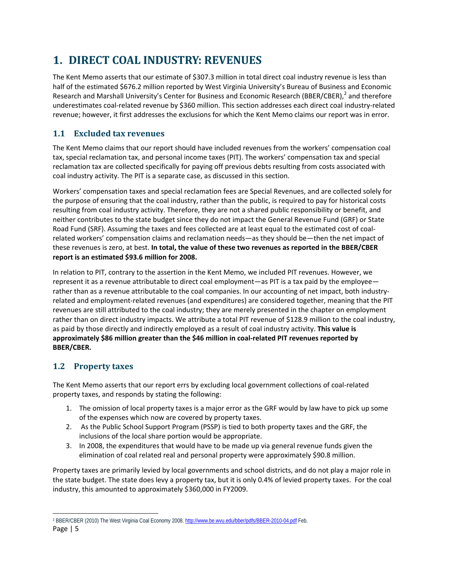## **1. DIRECT COAL INDUSTRY: REVENUES**

The Kent Memo asserts that our estimate of \$307.3 million in total direct coal industry revenue is less than half of the estimated \$676.2 million reported by West Virginia University's Bureau of Business and Economic Research and Marshall University's Center for Business and Economic Research (BBER/CBER),<sup>2</sup> and therefore underestimates coal‐related revenue by \$360 million. This section addresses each direct coal industry‐related revenue; however, it first addresses the exclusions for which the Kent Memo claims our report was in error.

## **1.1 Excluded tax revenues**

The Kent Memo claims that our report should have included revenues from the workers' compensation coal tax, special reclamation tax, and personal income taxes (PIT). The workers' compensation tax and special reclamation tax are collected specifically for paying off previous debts resulting from costs associated with coal industry activity. The PIT is a separate case, as discussed in this section.

Workers' compensation taxes and special reclamation fees are Special Revenues, and are collected solely for the purpose of ensuring that the coal industry, rather than the public, is required to pay for historical costs resulting from coal industry activity. Therefore, they are not a shared public responsibility or benefit, and neither contributes to the state budget since they do not impact the General Revenue Fund (GRF) or State Road Fund (SRF). Assuming the taxes and fees collected are at least equal to the estimated cost of coal‐ related workers' compensation claims and reclamation needs—as they should be—then the net impact of these revenues is zero, at best. **In total, the value of these two revenues as reported in the BBER/CBER report is an estimated \$93.6 million for 2008.**

In relation to PIT, contrary to the assertion in the Kent Memo, we included PIT revenues. However, we represent it as a revenue attributable to direct coal employment—as PIT is a tax paid by the employee rather than as a revenue attributable to the coal companies. In our accounting of net impact, both industryrelated and employment-related revenues (and expenditures) are considered together, meaning that the PIT revenues are still attributed to the coal industry; they are merely presented in the chapter on employment rather than on direct industry impacts. We attribute a total PIT revenue of \$128.9 million to the coal industry, as paid by those directly and indirectly employed as a result of coal industry activity. **This value is approximately \$86 million greater than the \$46 million in coal‐related PIT revenues reported by BBER/CBER.**

## **1.2 Property taxes**

The Kent Memo asserts that our report errs by excluding local government collections of coal‐related property taxes, and responds by stating the following:

- 1. The omission of local property taxes is a major error as the GRF would by law have to pick up some of the expenses which now are covered by property taxes.
- 2. As the Public School Support Program (PSSP) is tied to both property taxes and the GRF, the inclusions of the local share portion would be appropriate.
- 3. In 2008, the expenditures that would have to be made up via general revenue funds given the elimination of coal related real and personal property were approximately \$90.8 million.

Property taxes are primarily levied by local governments and school districts, and do not play a major role in the state budget. The state does levy a property tax, but it is only 0.4% of levied property taxes. For the coal industry, this amounted to approximately \$360,000 in FY2009.

Page | 5 <sup>2</sup> BBER/CBER (2010) The West Virginia Coal Economy 2008. http://www.be.wvu.edu/bber/pdfs/BBER-2010-04.pdf Feb.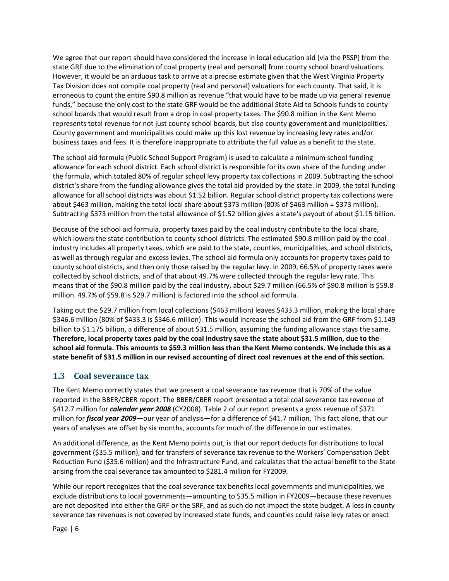We agree that our report should have considered the increase in local education aid (via the PSSP) from the state GRF due to the elimination of coal property (real and personal) from county school board valuations. However, it would be an arduous task to arrive at a precise estimate given that the West Virginia Property Tax Division does not compile coal property (real and personal) valuations for each county. That said, it is erroneous to count the entire \$90.8 million as revenue "that would have to be made up via general revenue funds," because the only cost to the state GRF would be the additional State Aid to Schools funds to county school boards that would result from a drop in coal property taxes. The \$90.8 million in the Kent Memo represents total revenue for not just county school boards, but also county government and municipalities. County government and municipalities could make up this lost revenue by increasing levy rates and/or business taxes and fees. It is therefore inappropriate to attribute the full value as a benefit to the state.

The school aid formula (Public School Support Program) is used to calculate a minimum school funding allowance for each school district. Each school district is responsible for its own share of the funding under the formula, which totaled 80% of regular school levy property tax collections in 2009. Subtracting the school district's share from the funding allowance gives the total aid provided by the state. In 2009, the total funding allowance for all school districts was about \$1.52 billion. Regular school district property tax collections were about \$463 million, making the total local share about \$373 million (80% of \$463 million = \$373 million). Subtracting \$373 million from the total allowance of \$1.52 billion gives a state's payout of about \$1.15 billion.

Because of the school aid formula, property taxes paid by the coal industry contribute to the local share, which lowers the state contribution to county school districts. The estimated \$90.8 million paid by the coal industry includes all property taxes, which are paid to the state, counties, municipalities, and school districts, as well as through regular and excess levies. The school aid formula only accounts for property taxes paid to county school districts, and then only those raised by the regular levy. In 2009, 66.5% of property taxes were collected by school districts, and of that about 49.7% were collected through the regular levy rate. This means that of the \$90.8 million paid by the coal industry, about \$29.7 million (66.5% of \$90.8 million is \$59.8 million. 49.7% of \$59.8 is \$29.7 million) is factored into the school aid formula.

Taking out the \$29.7 million from local collections (\$463 million) leaves \$433.3 million, making the local share \$346.6 million (80% of \$433.3 is \$346.6 million). This would increase the school aid from the GRF from \$1.149 billion to \$1.175 billion, a difference of about \$31.5 million, assuming the funding allowance stays the same. Therefore, local property taxes paid by the coal industry save the state about \$31.5 million, due to the school aid formula. This amounts to \$59.3 million less than the Kent Memo contends. We include this as a state benefit of \$31.5 million in our revised accounting of direct coal revenues at the end of this section.

## **1.3 Coal severance tax**

The Kent Memo correctly states that we present a coal severance tax revenue that is 70% of the value reported in the BBER/CBER report. The BBER/CBER report presented a total coal severance tax revenue of \$412.7 million for *calendar year 2008* (CY2008). Table 2 of our report presents a gross revenue of \$371 million for *fiscal year 2009*—our year of analysis—for a difference of \$41.7 million. This fact alone, that our years of analyses are offset by six months, accounts for much of the difference in our estimates.

An additional difference, as the Kent Memo points out, is that our report deducts for distributions to local government (\$35.5 million), and for transfers of severance tax revenue to the Workers' Compensation Debt Reduction Fund (\$35.6 million) and the Infrastructure Fund, and calculates that the actual benefit to the State arising from the coal severance tax amounted to \$281.4 million for FY2009.

While our report recognizes that the coal severance tax benefits local governments and municipalities, we exclude distributions to local governments—amounting to \$35.5 million in FY2009—because these revenues are not deposited into either the GRF or the SRF, and as such do not impact the state budget. A loss in county severance tax revenues is not covered by increased state funds, and counties could raise levy rates or enact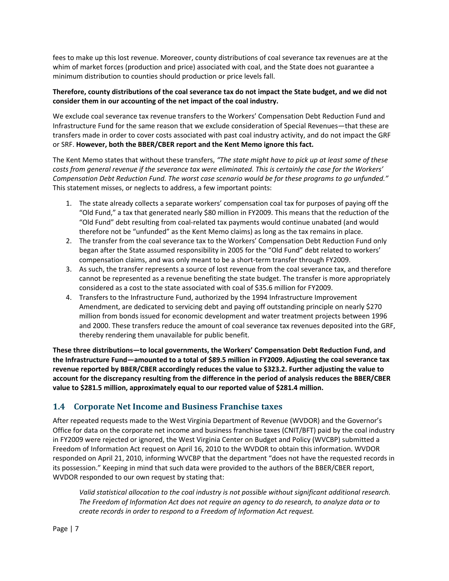fees to make up this lost revenue. Moreover, county distributions of coal severance tax revenues are at the whim of market forces (production and price) associated with coal, and the State does not guarantee a minimum distribution to counties should production or price levels fall.

### Therefore, county distributions of the coal severance tax do not impact the State budget, and we did not **consider them in our accounting of the net impact of the coal industry.**

We exclude coal severance tax revenue transfers to the Workers' Compensation Debt Reduction Fund and Infrastructure Fund for the same reason that we exclude consideration of Special Revenues—that these are transfers made in order to cover costs associated with past coal industry activity, and do not impact the GRF or SRF. **However, both the BBER/CBER report and the Kent Memo ignore this fact.**

The Kent Memo states that without these transfers, *"The state might have to pick up at least some of these* costs from general revenue if the severance tax were eliminated. This is certainly the case for the Workers' *Compensation Debt Reduction Fund. The worst case scenario would be for these programs to go unfunded."* This statement misses, or neglects to address, a few important points:

- 1. The state already collects a separate workers' compensation coal tax for purposes of paying off the "Old Fund," a tax that generated nearly \$80 million in FY2009. This means that the reduction of the "Old Fund" debt resulting from coal‐related tax payments would continue unabated (and would therefore not be "unfunded" as the Kent Memo claims) as long as the tax remains in place.
- 2. The transfer from the coal severance tax to the Workers' Compensation Debt Reduction Fund only began after the State assumed responsibility in 2005 for the "Old Fund" debt related to workers' compensation claims, and was only meant to be a short‐term transfer through FY2009.
- 3. As such, the transfer represents a source of lost revenue from the coal severance tax, and therefore cannot be represented as a revenue benefiting the state budget. The transfer is more appropriately considered as a cost to the state associated with coal of \$35.6 million for FY2009.
- 4. Transfers to the Infrastructure Fund, authorized by the 1994 Infrastructure Improvement Amendment, are dedicated to servicing debt and paying off outstanding principle on nearly \$270 million from bonds issued for economic development and water treatment projects between 1996 and 2000. These transfers reduce the amount of coal severance tax revenues deposited into the GRF, thereby rendering them unavailable for public benefit.

**These three distributions—to local governments, the Workers' Compensation Debt Reduction Fund, and the Infrastructure Fund—amounted to a total of \$89.5 million in FY2009. Adjusting the coal severance tax revenue reported by BBER/CBER accordingly reduces the value to \$323.2. Further adjusting the value to account for the discrepancy resulting from the difference in the period of analysis reduces the BBER/CBER value to \$281.5 million, approximately equal to our reported value of \$281.4 million.**

## **1.4 Corporate Net Income and Business Franchise taxes**

After repeated requests made to the West Virginia Department of Revenue (WVDOR) and the Governor's Office for data on the corporate net income and business franchise taxes (CNIT/BFT) paid by the coal industry in FY2009 were rejected or ignored, the West Virginia Center on Budget and Policy (WVCBP) submitted a Freedom of Information Act request on April 16, 2010 to the WVDOR to obtain this information. WVDOR responded on April 21, 2010, informing WVCBP that the department "does not have the requested records in its possession." Keeping in mind that such data were provided to the authors of the BBER/CBER report, WVDOR responded to our own request by stating that:

*Valid statistical allocation to the coal industry is not possible without significant additional research. The Freedom of Information Act does not require an agency to do research, to analyze data or to create records in order to respond to a Freedom of Information Act request.*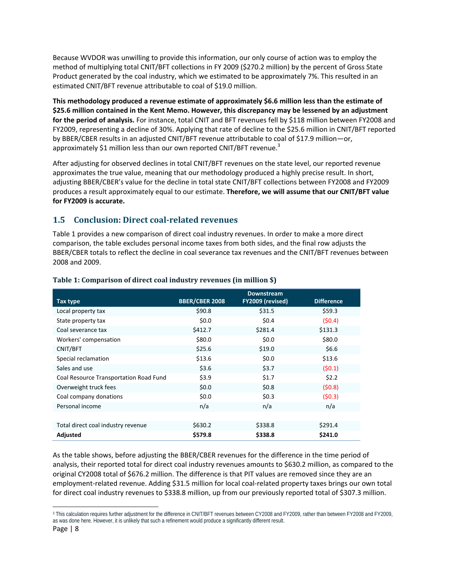Because WVDOR was unwilling to provide this information, our only course of action was to employ the method of multiplying total CNIT/BFT collections in FY 2009 (\$270.2 million) by the percent of Gross State Product generated by the coal industry, which we estimated to be approximately 7%. This resulted in an estimated CNIT/BFT revenue attributable to coal of \$19.0 million.

**This methodology produced a revenue estimate of approximately \$6.6 million less than the estimate of \$25.6 million contained in the Kent Memo. However, this discrepancy may be lessened by an adjustment for the period of analysis.** For instance, total CNIT and BFT revenues fell by \$118 million between FY2008 and FY2009, representing a decline of 30%. Applying that rate of decline to the \$25.6 million in CNIT/BFT reported by BBER/CBER results in an adjusted CNIT/BFT revenue attributable to coal of \$17.9 million—or, approximately \$1 million less than our own reported CNIT/BFT revenue.<sup>3</sup>

After adjusting for observed declines in total CNIT/BFT revenues on the state level, our reported revenue approximates the true value, meaning that our methodology produced a highly precise result. In short, adjusting BBER/CBER's value for the decline in total state CNIT/BFT collections between FY2008 and FY2009 produces a result approximately equal to our estimate. **Therefore, we will assume that our CNIT/BFT value for FY2009 is accurate.**

## **1.5 Conclusion: Direct coalrelated revenues**

Table 1 provides a new comparison of direct coal industry revenues. In order to make a more direct comparison, the table excludes personal income taxes from both sides, and the final row adjusts the BBER/CBER totals to reflect the decline in coal severance tax revenues and the CNIT/BFT revenues between 2008 and 2009.

|                                        |                       | <b>Downstream</b> |                   |
|----------------------------------------|-----------------------|-------------------|-------------------|
| Tax type                               | <b>BBER/CBER 2008</b> | FY2009 (revised)  | <b>Difference</b> |
| Local property tax                     | \$90.8                | \$31.5            | \$59.3            |
| State property tax                     | \$0.0\$               | \$0.4\$           | (50.4)            |
| Coal severance tax                     | \$412.7               | \$281.4           | \$131.3           |
| Workers' compensation                  | \$80.0                | \$0.0\$           | \$80.0            |
| CNIT/BFT                               | \$25.6                | \$19.0            | \$6.6\$           |
| Special reclamation                    | \$13.6                | \$0.0\$           | \$13.6            |
| Sales and use                          | \$3.6                 | \$3.7             | (50.1)            |
| Coal Resource Transportation Road Fund | \$3.9                 | \$1.7             | \$2.2             |
| Overweight truck fees                  | \$0.0\$               | \$0.8\$           | (50.8)            |
| Coal company donations                 | \$0.0\$               | \$0.3\$           | (50.3)            |
| Personal income                        | n/a                   | n/a               | n/a               |
|                                        |                       |                   |                   |
| Total direct coal industry revenue     | \$630.2               | \$338.8           | \$291.4           |
| Adjusted                               | \$579.8               | \$338.8           | \$241.0           |

### **Table 1: Comparison of direct coal industry revenues (in million \$)**

As the table shows, before adjusting the BBER/CBER revenues for the difference in the time period of analysis, their reported total for direct coal industry revenues amounts to \$630.2 million, as compared to the original CY2008 total of \$676.2 million. The difference is that PIT values are removed since they are an employment-related revenue. Adding \$31.5 million for local coal-related property taxes brings our own total for direct coal industry revenues to \$338.8 million, up from our previously reported total of \$307.3 million.

 3 This calculation requires further adjustment for the difference in CNIT/BFT revenues between CY2008 and FY2009, rather than between FY2008 and FY2009, as was done here. However, it is unlikely that such a refinement would produce a significantly different result.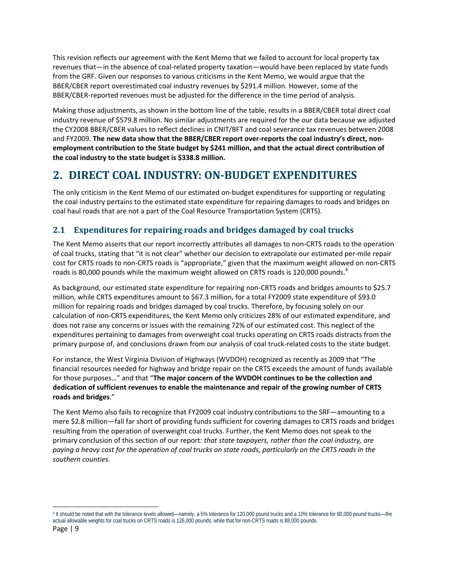This revision reflects our agreement with the Kent Memo that we failed to account for local property tax revenues that—in the absence of coal-related property taxation—would have been replaced by state funds from the GRF. Given our responses to various criticisms in the Kent Memo, we would argue that the BBER/CBER report overestimated coal industry revenues by \$291.4 million. However, some of the BBER/CBER‐reported revenues must be adjusted for the difference in the time period of analysis.

Making those adjustments, as shown in the bottom line of the table, results in a BBER/CBER total direct coal industry revenue of \$579.8 million. No similar adjustments are required for the our data because we adjusted the CY2008 BBER/CBER values to reflect declines in CNIT/BFT and coal severance tax revenues between 2008 and FY2009. **The new data show that the BBER/CBER report over‐reports the coal industry's direct, non‐ employment contribution to the State budget by \$241 million, and that the actual direct contribution of the coal industry to the state budget is \$338.8 million.**

## **2. DIRECT COAL INDUSTRY: ONBUDGET EXPENDITURES**

The only criticism in the Kent Memo of our estimated on-budget expenditures for supporting or regulating the coal industry pertains to the estimated state expenditure for repairing damages to roads and bridges on coal haul roads that are not a part of the Coal Resource Transportation System (CRTS).

## **2.1 Expenditures for repairing roads and bridges damaged by coal trucks**

The Kent Memo asserts that our report incorrectly attributes all damages to non‐CRTS roads to the operation of coal trucks, stating that "it is not clear" whether our decision to extrapolate our estimated per‐mile repair cost for CRTS roads to non‐CRTS roads is "appropriate," given that the maximum weight allowed on non‐CRTS roads is 80,000 pounds while the maximum weight allowed on CRTS roads is 120,000 pounds.<sup>4</sup>

As background, our estimated state expenditure for repairing non‐CRTS roads and bridges amounts to \$25.7 million, while CRTS expenditures amount to \$67.3 million, for a total FY2009 state expenditure of \$93.0 million for repairing roads and bridges damaged by coal trucks. Therefore, by focusing solely on our calculation of non‐CRTS expenditures, the Kent Memo only criticizes 28% of our estimated expenditure, and does not raise any concerns or issues with the remaining 72% of our estimated cost. This neglect of the expenditures pertaining to damages from overweight coal trucks operating on CRTS roads distracts from the primary purpose of, and conclusions drawn from our analysis of coal truck‐related costs to the state budget.

For instance, the West Virginia Division of Highways (WVDOH) recognized as recently as 2009 that "The financial resources needed for highway and bridge repair on the CRTS exceeds the amount of funds available for those purposes…" and that "**The major concern of the WVDOH continues to be the collection and dedication of sufficient revenues to enable the maintenance and repair of the growing number of CRTS roads and bridges**."

The Kent Memo also fails to recognize that FY2009 coal industry contributions to the SRF—amounting to a mere \$2.8 million—fall far short of providing funds sufficient for covering damages to CRTS roads and bridges resulting from the operation of overweight coal trucks. Further, the Kent Memo does not speak to the primary conclusion of this section of our report: *that state taxpayers, rather than the coal industry, are* paying a heavy cost for the operation of coal trucks on state roads, particularly on the CRTS roads in the *southern counties.*

<sup>4</sup> It should be noted that with the tolerance levels allowed—namely, a 5% tolerance for 120,000 pound trucks and a 10% tolerance for 80,000 pound trucks—the actual allowable weights for coal trucks on CRTS roads is 126,000 pounds, while that for non-CRTS roads is 88,000 pounds.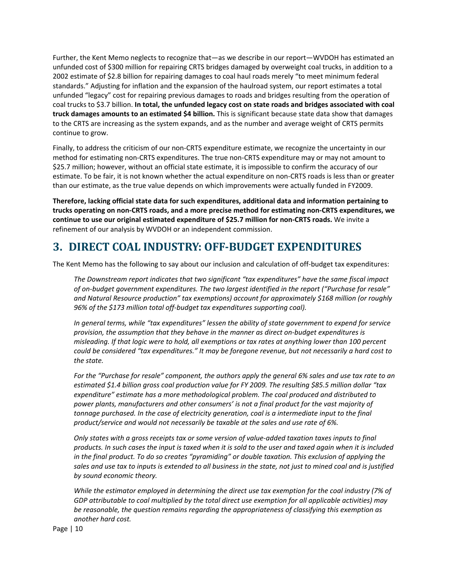Further, the Kent Memo neglects to recognize that—as we describe in our report—WVDOH has estimated an unfunded cost of \$300 million for repairing CRTS bridges damaged by overweight coal trucks, in addition to a 2002 estimate of \$2.8 billion for repairing damages to coal haul roads merely "to meet minimum federal standards." Adjusting for inflation and the expansion of the haulroad system, our report estimates a total unfunded "legacy" cost for repairing previous damages to roads and bridges resulting from the operation of coal trucks to \$3.7 billion. **In total, the unfunded legacy cost on state roads and bridges associated with coal truck damages amounts to an estimated \$4 billion.** This is significant because state data show that damages to the CRTS are increasing as the system expands, and as the number and average weight of CRTS permits continue to grow.

Finally, to address the criticism of our non‐CRTS expenditure estimate, we recognize the uncertainty in our method for estimating non-CRTS expenditures. The true non-CRTS expenditure may or may not amount to \$25.7 million; however, without an official state estimate, it is impossible to confirm the accuracy of our estimate. To be fair, it is not known whether the actual expenditure on non‐CRTS roads is less than or greater than our estimate, as the true value depends on which improvements were actually funded in FY2009.

**Therefore, lacking official state data for such expenditures, additional data and information pertaining to** trucks operating on non-CRTS roads, and a more precise method for estimating non-CRTS expenditures, we **continue to use our original estimated expenditure of \$25.7 million for non‐CRTS roads.** We invite a refinement of our analysis by WVDOH or an independent commission.

## **3. DIRECT COAL INDUSTRY: OFFBUDGET EXPENDITURES**

The Kent Memo has the following to say about our inclusion and calculation of off‐budget tax expenditures:

*The Downstream report indicates that two significant "tax expenditures" have the same fiscal impact of on‐budget government expenditures. The two largest identified in the report ("Purchase for resale" and Natural Resource production" tax exemptions) account for approximately \$168 million (or roughly 96% of the \$173 million total off‐budget tax expenditures supporting coal).*

*In general terms, while "tax expenditures" lessen the ability of state government to expend for service provision, the assumption that they behave in the manner as direct on‐budget expenditures is* misleading. If that logic were to hold, all exemptions or tax rates at anything lower than 100 percent *could be considered "tax expenditures." It may be foregone revenue, but not necessarily a hard cost to the state.* 

For the "Purchase for resale" component, the authors apply the general 6% sales and use tax rate to an *estimated \$1.4 billion gross coal production value for FY 2009. The resulting \$85.5 million dollar "tax expenditure" estimate has a more methodological problem. The coal produced and distributed to power plants, manufacturers and other consumers' is not a final product for the vast majority of tonnage purchased. In the case of electricity generation, coal is a intermediate input to the final product/service and would not necessarily be taxable at the sales and use rate of 6%.* 

Only states with a gross receipts tax or some version of value-added taxation taxes inputs to final products. In such cases the input is taxed when it is sold to the user and taxed again when it is included *in the final product. To do so creates "pyramiding" or double taxation. This exclusion of applying the* sales and use tax to inputs is extended to all business in the state, not just to mined coal and is justified *by sound economic theory.* 

*While the estimator employed in determining the direct use tax exemption for the coal industry (7% of GDP attributable to coal multiplied by the total direct use exemption for all applicable activities) may be reasonable, the question remains regarding the appropriateness of classifying this exemption as another hard cost.*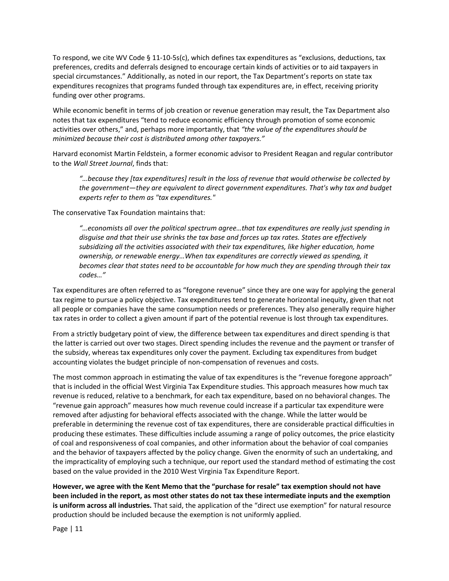To respond, we cite WV Code § 11‐10‐5s(c), which defines tax expenditures as "exclusions, deductions, tax preferences, credits and deferrals designed to encourage certain kinds of activities or to aid taxpayers in special circumstances." Additionally, as noted in our report, the Tax Department's reports on state tax expenditures recognizes that programs funded through tax expenditures are, in effect, receiving priority funding over other programs.

While economic benefit in terms of job creation or revenue generation may result, the Tax Department also notes that tax expenditures "tend to reduce economic efficiency through promotion of some economic activities over others," and, perhaps more importantly, that *"the value of the expenditures should be minimized because their cost is distributed among other taxpayers."*

Harvard economist Martin Feldstein, a former economic advisor to President Reagan and regular contributor to the *Wall Street Journal*, finds that:

*"…because they [tax expenditures] result in the loss of revenue that would otherwise be collected by the government—they are equivalent to direct government expenditures. That's why tax and budget experts refer to them as "tax expenditures."* 

The conservative Tax Foundation maintains that:

*"…economists all over the political spectrum agree…that tax expenditures are really just spending in disguise and that their use shrinks the tax base and forces up tax rates. States are effectively subsidizing all the activities associated with their tax expenditures, like higher education, home ownership, or renewable energy…When tax expenditures are correctly viewed as spending, it becomes clear that states need to be accountable for how much they are spending through their tax codes…"* 

Tax expenditures are often referred to as "foregone revenue" since they are one way for applying the general tax regime to pursue a policy objective. Tax expenditures tend to generate horizontal inequity, given that not all people or companies have the same consumption needs or preferences. They also generally require higher tax rates in order to collect a given amount if part of the potential revenue is lost through tax expenditures.

From a strictly budgetary point of view, the difference between tax expenditures and direct spending is that the latter is carried out over two stages. Direct spending includes the revenue and the payment or transfer of the subsidy, whereas tax expenditures only cover the payment. Excluding tax expenditures from budget accounting violates the budget principle of non‐compensation of revenues and costs.

The most common approach in estimating the value of tax expenditures is the "revenue foregone approach" that is included in the official West Virginia Tax Expenditure studies. This approach measures how much tax revenue is reduced, relative to a benchmark, for each tax expenditure, based on no behavioral changes. The "revenue gain approach" measures how much revenue could increase if a particular tax expenditure were removed after adjusting for behavioral effects associated with the change. While the latter would be preferable in determining the revenue cost of tax expenditures, there are considerable practical difficulties in producing these estimates. These difficulties include assuming a range of policy outcomes, the price elasticity of coal and responsiveness of coal companies, and other information about the behavior of coal companies and the behavior of taxpayers affected by the policy change. Given the enormity of such an undertaking, and the impracticality of employing such a technique, our report used the standard method of estimating the cost based on the value provided in the 2010 West Virginia Tax Expenditure Report.

**However, we agree with the Kent Memo that the "purchase for resale" tax exemption should not have** been included in the report, as most other states do not tax these intermediate inputs and the exemption **is uniform across all industries.** That said, the application of the "direct use exemption" for natural resource production should be included because the exemption is not uniformly applied.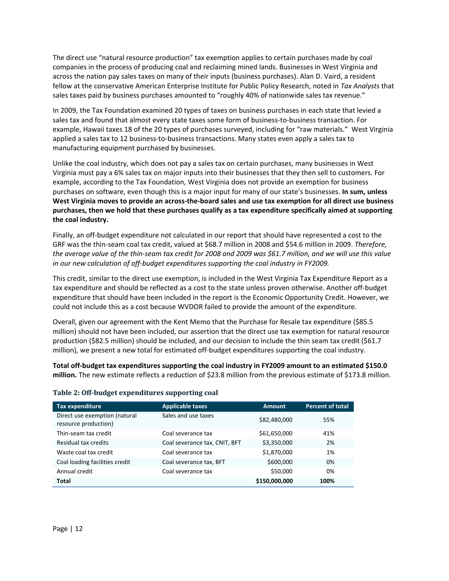The direct use "natural resource production" tax exemption applies to certain purchases made by coal companies in the process of producing coal and reclaiming mined lands. Businesses in West Virginia and across the nation pay sales taxes on many of their inputs (business purchases). Alan D. Vaird, a resident fellow at the conservative American Enterprise Institute for Public Policy Research, noted in *Tax Analysts* that sales taxes paid by business purchases amounted to "roughly 40% of nationwide sales tax revenue."

In 2009, the Tax Foundation examined 20 types of taxes on business purchases in each state that levied a sales tax and found that almost every state taxes some form of business-to-business transaction. For example, Hawaii taxes 18 of the 20 types of purchases surveyed, including for "raw materials." West Virginia applied a sales tax to 12 business-to-business transactions. Many states even apply a sales tax to manufacturing equipment purchased by businesses.

Unlike the coal industry, which does not pay a sales tax on certain purchases, many businesses in West Virginia must pay a 6% sales tax on major inputs into their businesses that they then sell to customers. For example, according to the Tax Foundation, West Virginia does not provide an exemption for business purchases on software, even though this is a major input for many of our state's businesses. **In sum, unless** West Virginia moves to provide an across-the-board sales and use tax exemption for all direct use business **purchases, then we hold that these purchases qualify as a tax expenditure specifically aimed at supporting the coal industry.** 

Finally, an off‐budget expenditure not calculated in our report that should have represented a cost to the GRF was the thin‐seam coal tax credit, valued at \$68.7 million in 2008 and \$54.6 million in 2009. *Therefore,* the average value of the thin-seam tax credit for 2008 and 2009 was \$61.7 million, and we will use this value *in our new calculation of off‐budget expenditures supporting the coal industry in FY2009.* 

This credit, similar to the direct use exemption, is included in the West Virginia Tax Expenditure Report as a tax expenditure and should be reflected as a cost to the state unless proven otherwise. Another off‐budget expenditure that should have been included in the report is the Economic Opportunity Credit. However, we could not include this as a cost because WVDOR failed to provide the amount of the expenditure.

Overall, given our agreement with the Kent Memo that the Purchase for Resale tax expenditure (\$85.5 million) should not have been included, our assertion that the direct use tax exemption for natural resource production (\$82.5 million) should be included, and our decision to include the thin seam tax credit (\$61.7 million), we present a new total for estimated off-budget expenditures supporting the coal industry.

**Total off‐budget tax expenditures supporting the coal industry in FY2009 amount to an estimated \$150.0 million.** The new estimate reflects a reduction of \$23.8 million from the previous estimate of \$173.8 million.

| Tax expenditure                                       | <b>Applicable taxes</b>       | <b>Amount</b> | <b>Percent of total</b> |
|-------------------------------------------------------|-------------------------------|---------------|-------------------------|
| Direct use exemption (natural<br>resource production) | Sales and use taxes           | \$82,480,000  | 55%                     |
| Thin-seam tax credit                                  | Coal severance tax            | \$61,650,000  | 41%                     |
| Residual tax credits                                  | Coal severance tax, CNIT, BFT | \$3,350,000   | 2%                      |
| Waste coal tax credit                                 | Coal severance tax            | \$1,870,000   | 1%                      |
| Coal loading facilities credit                        | Coal severance tax, BFT       | \$600,000     | 0%                      |
| Annual credit                                         | Coal severance tax            | \$50,000      | 0%                      |
| Total                                                 |                               | \$150,000,000 | 100%                    |

#### **Table 2: Offbudget expenditures supporting coal**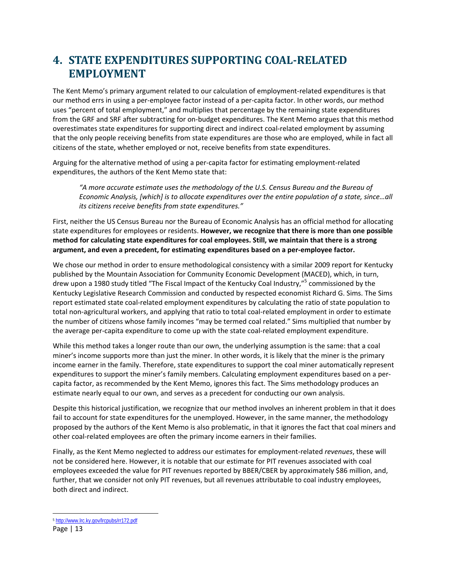## **4. STATE EXPENDITURES SUPPORTING COALRELATED EMPLOYMENT**

The Kent Memo's primary argument related to our calculation of employment‐related expenditures is that our method errs in using a per‐employee factor instead of a per‐capita factor. In other words, our method uses "percent of total employment," and multiplies that percentage by the remaining state expenditures from the GRF and SRF after subtracting for on‐budget expenditures. The Kent Memo argues that this method overestimates state expenditures for supporting direct and indirect coal‐related employment by assuming that the only people receiving benefits from state expenditures are those who are employed, while in fact all citizens of the state, whether employed or not, receive benefits from state expenditures.

Arguing for the alternative method of using a per‐capita factor for estimating employment‐related expenditures, the authors of the Kent Memo state that:

*"A more accurate estimate uses the methodology of the U.S. Census Bureau and the Bureau of Economic Analysis, [which] is to allocate expenditures over the entire population of a state, since…all its citizens receive benefits from state expenditures."* 

First, neither the US Census Bureau nor the Bureau of Economic Analysis has an official method for allocating state expenditures for employees or residents. **However, we recognize that there is more than one possible method for calculating state expenditures for coal employees. Still, we maintain that there is a strong argument, and even a precedent, for estimating expenditures based on a per‐employee factor.**

We chose our method in order to ensure methodological consistency with a similar 2009 report for Kentucky published by the Mountain Association for Community Economic Development (MACED), which, in turn, drew upon a 1980 study titled "The Fiscal Impact of the Kentucky Coal Industry,"<sup>5</sup> commissioned by the Kentucky Legislative Research Commission and conducted by respected economist Richard G. Sims. The Sims report estimated state coal‐related employment expenditures by calculating the ratio of state population to total non‐agricultural workers, and applying that ratio to total coal‐related employment in order to estimate the number of citizens whose family incomes "may be termed coal related." Sims multiplied that number by the average per‐capita expenditure to come up with the state coal‐related employment expenditure.

While this method takes a longer route than our own, the underlying assumption is the same: that a coal miner's income supports more than just the miner. In other words, it is likely that the miner is the primary income earner in the family. Therefore, state expenditures to support the coal miner automatically represent expenditures to support the miner's family members. Calculating employment expenditures based on a per‐ capita factor, as recommended by the Kent Memo, ignores this fact. The Sims methodology produces an estimate nearly equal to our own, and serves as a precedent for conducting our own analysis.

Despite this historical justification, we recognize that our method involves an inherent problem in that it does fail to account for state expenditures for the unemployed. However, in the same manner, the methodology proposed by the authors of the Kent Memo is also problematic, in that it ignores the fact that coal miners and other coal‐related employees are often the primary income earners in their families.

Finally, as the Kent Memo neglected to address our estimates for employment‐related *revenues*, these will not be considered here. However, it is notable that our estimate for PIT revenues associated with coal employees exceeded the value for PIT revenues reported by BBER/CBER by approximately \$86 million, and, further, that we consider not only PIT revenues, but all revenues attributable to coal industry employees, both direct and indirect.

 <sup>5</sup> http://www.lrc.ky.gov/lrcpubs/rr172.pdf

Page | 13